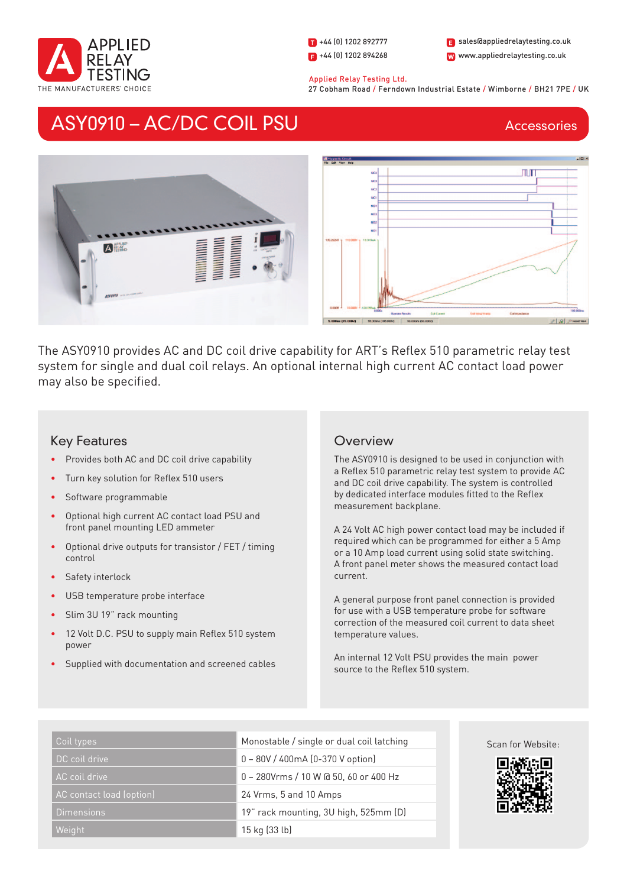

1 +44 (0) 1202 892777  $\blacksquare$  +44 (0) 1202 894268 W www.appliedrelaytesting.co.uk sales@appliedrelaytesting.co.uk

#### Applied Relay Testing Ltd.

27 Cobham Road / Ferndown Industrial Estate / Wimborne / BH21 7PE / UK

# ASY0910 – AC/DC COIL PSU

**Accessories** 



The ASY0910 provides AC and DC coil drive capability for ART's Reflex 510 parametric relay test system for single and dual coil relays. An optional internal high current AC contact load power may also be specified.

# Key Features

- Provides both AC and DC coil drive capability
- Turn key solution for Reflex 510 users
- Software programmable
- Optional high current AC contact load PSU and front panel mounting LED ammeter
- Optional drive outputs for transistor / FET / timing control
- Safety interlock
- USB temperature probe interface
- Slim 3U 19" rack mounting
- 12 Volt D.C. PSU to supply main Reflex 510 system power
- Supplied with documentation and screened cables

# **Overview**

The ASY0910 is designed to be used in conjunction with a Reflex 510 parametric relay test system to provide AC and DC coil drive capability. The system is controlled by dedicated interface modules fitted to the Reflex measurement backplane.

A 24 Volt AC high power contact load may be included if required which can be programmed for either a 5 Amp or a 10 Amp load current using solid state switching. A front panel meter shows the measured contact load current.

A general purpose front panel connection is provided for use with a USB temperature probe for software correction of the measured coil current to data sheet temperature values.

An internal 12 Volt PSU provides the main power source to the Reflex 510 system.

| Coil types               | Monostable / single or dual coil latching | Scan for Website: |
|--------------------------|-------------------------------------------|-------------------|
| DC coil drive            | 0 - 80V / 400mA (0-370 V option)          | 回游游归              |
| AC coil drive            | 0 - 280Vrms / 10 W @ 50, 60 or 400 Hz     |                   |
| AC contact load (option) | 24 Vrms, 5 and 10 Amps                    |                   |
| <b>Dimensions</b>        | 19" rack mounting, 3U high, 525mm (D)     | 41 J              |
| Weight                   | 15 kg (33 lb)                             |                   |